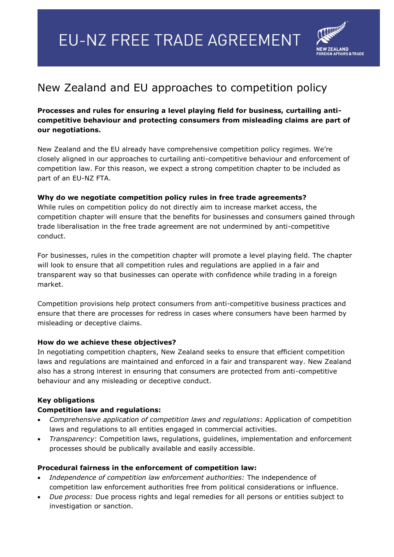# **EU-NZ FREE TRADE AGREEMENT**



## New Zealand and EU approaches to competition policy

### **Processes and rules for ensuring a level playing field for business, curtailing anticompetitive behaviour and protecting consumers from misleading claims are part of our negotiations.**

New Zealand and the EU already have comprehensive competition policy regimes. We're closely aligned in our approaches to curtailing anti-competitive behaviour and enforcement of competition law. For this reason, we expect a strong competition chapter to be included as part of an EU-NZ FTA.

#### **Why do we negotiate competition policy rules in free trade agreements?**

While rules on competition policy do not directly aim to increase market access, the competition chapter will ensure that the benefits for businesses and consumers gained through trade liberalisation in the free trade agreement are not undermined by anti-competitive conduct.

For businesses, rules in the competition chapter will promote a level playing field. The chapter will look to ensure that all competition rules and regulations are applied in a fair and transparent way so that businesses can operate with confidence while trading in a foreign market.

Competition provisions help protect consumers from anti-competitive business practices and ensure that there are processes for redress in cases where consumers have been harmed by misleading or deceptive claims.

#### **How do we achieve these objectives?**

In negotiating competition chapters, New Zealand seeks to ensure that efficient competition laws and regulations are maintained and enforced in a fair and transparent way. New Zealand also has a strong interest in ensuring that consumers are protected from anti-competitive behaviour and any misleading or deceptive conduct.

#### **Key obligations**

#### **Competition law and regulations:**

- *Comprehensive application of competition laws and regulations*: Application of competition laws and regulations to all entities engaged in commercial activities.
- *Transparency*: Competition laws, regulations, guidelines, implementation and enforcement processes should be publically available and easily accessible.

#### **Procedural fairness in the enforcement of competition law:**

- *Independence of competition law enforcement authorities:* The independence of competition law enforcement authorities free from political considerations or influence.
- *Due process:* Due process rights and legal remedies for all persons or entities subject to investigation or sanction.